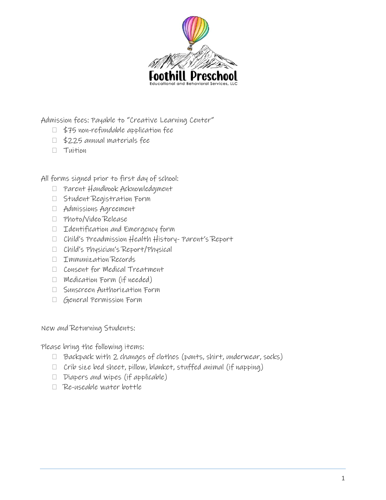

Admission fees: Payable to "Creative Learning Center"

- \$75 non-refundable application fee
- \$225 annual materials fee
- $\Pi$  Tuition

All forms signed prior to first day of school:

- Parent Handbook Acknowledgment
- Student Registration Form
- Admissions Agreement
- Photo/Video Release
- Identification and Emergency form
- Child's Preadmission Health History- Parent's Report
- Child's Physician's Report/Physical
- Immunization Records
- □ Consent for Medical Treatment
- $\Box$  Medication Form (if needed)
- Sunscreen Authorization Form
- General Permission Form

New and Returning Students:

Please bring the following items:

- $\Box$  Backpack with 2 changes of clothes (pants, shirt, underwear, socks)
- $\Box$  Crib size bed sheet, pillow, blanket, stuffed animal (if napping)
- $\Box$  Diapers and wipes (if applicable)
- Re-useable water bottle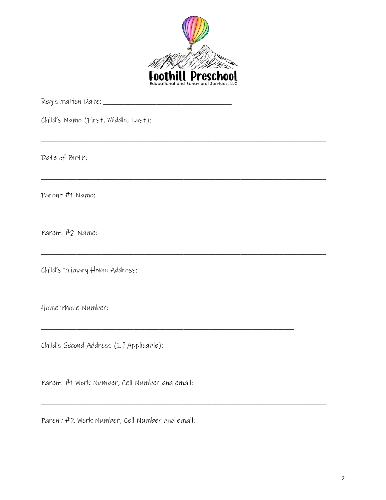

Child's Name (First, Middle, Last): Date of Birth: Parent #1 Name: Parent #2 Name: Child's Primary Home Address: Home Phone Number: Child's Second Address (If Applicable): Parent #1 Work Number, Cell Number and email:

<u> 1989 - Johann Stoff, deutscher Stoff, der Stoff, der Stoff, der Stoff, der Stoff, der Stoff, der Stoff, der S</u>

Parent #2 Work Number, Cell Number and email: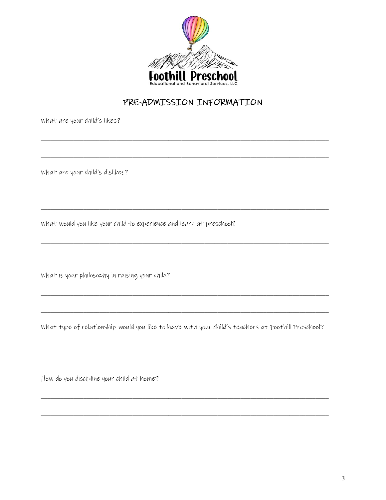

## PRE-ADMISSION INFORMATION

What are your child's likes?

What are your child's dislikes?

what would you like your child to experience and learn at preschool?

What is your philosophy in raising your child?

what type of relationship would you like to have with your child's teachers at Foothill Preschool?

How do you discipline your child at home?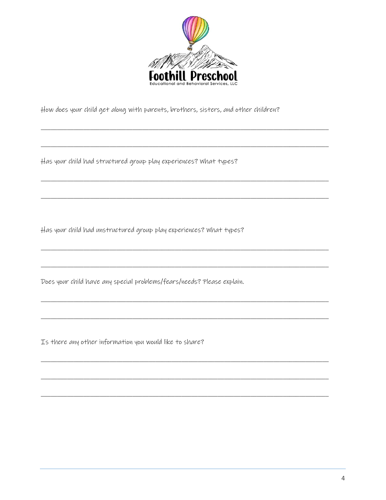

How does your child get along with parents, brothers, sisters, and other children?

Has your child had structured group play experiences? What types?

Has your child had unstructured group play experiences? What types?

Does your child have any special problems/fears/needs? Please explain.

Is there any other information you would like to share?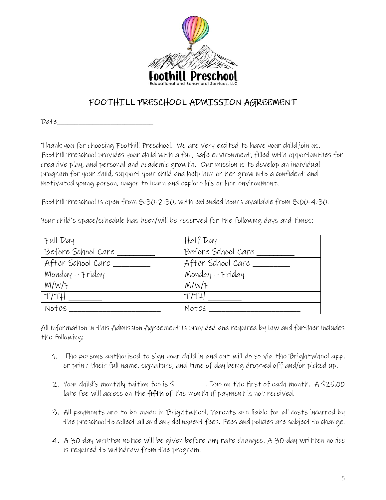

# FOOTHILL PRESCHOOL ADMISSION AGREEMENT

Date\_\_\_\_\_\_\_\_\_\_\_\_\_\_\_\_\_\_\_\_\_\_\_\_\_\_\_

Thank you for choosing Foothill Preschool. We are very excited to have your child join us. Foothill Preschool provides your child with a fun, safe environment, filled with opportunities for creative play, and personal and academic growth. Our mission is to develop an individual program for your child, support your child and help him or her grow into a confident and motivated young person, eager to learn and explore his or her environment.

Foothill Preschool is open from 8:30-2:30, with extended hours available from 8:00-4:30.

Your child's space/schedule has been/will be reserved for the following days and times:

| $Full$ $Day$ $\_\_$ | $Half$ $Day$ $\_\_$ |
|---------------------|---------------------|
| Before School Care  | Before School Care  |
| After School Care   | After School Care   |
| Monday – Friday _   | Monday - Friday _   |
| W/W/F               | W/W/F               |
| T/TH                | T/TH                |
| Notes               | Notes               |

All information in this Admission Agreement is provided and required by law and further includes the following:

- 1. The persons authorized to sign your child in and out will do so via the Brightwheel app, or print their full name, signature, and time of day being dropped off and/or picked up.
- 2. Your child's monthly tuition fee is  $\frac{1}{2}$  . Due on the first of each month. A \$25.00 late fee will access on the fifth of the month if payment is not received.
- 3. All payments are to be made in Brightwheel. Parents are liable for all costs incurred by the preschool to collect all and any delinquent fees. Fees and policies are subject to change.
- 4. A 30-day written notice will be given before any rate changes. A 30-day written notice is required to withdraw from the program.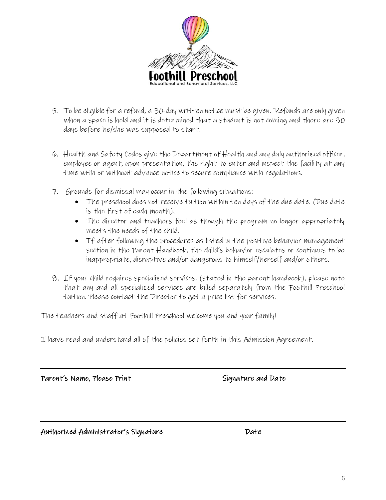

- 5. To be eligible for a refund, a 30-day written notice must be given. Refunds are only given when a space is held and it is determined that a student is not coming and there are 30 days before he/she was supposed to start.
- 6. Health and Safety Codes give the Department of Health and any duly authorized officer, employee or agent, upon presentation, the right to enter and inspect the facility at any time with or without advance notice to secure compliance with regulations.
- 7. Grounds for dismissal may occur in the following situations:
	- The preschool does not receive tuition within ten days of the due date. (Due date is the first of each month).
	- The director and teachers feel as though the program no longer appropriately meets the needs of the child.
	- If after following the procedures as listed in the positive behavior management section in the Parent Handbook, the child's behavior escalates or continues to be inappropriate, disruptive and/or dangerous to himself/herself and/or others.
- 8. If your child requires specialized services, (stated in the parent handbook), please note that any and all specialized services are billed separately from the Foothill Preschool tuition. Please contact the Director to get a price list for services.

The teachers and staff at Foothill Preschool welcome you and your family!

I have read and understand all of the policies set forth in this Admission Agreement.

Parent's Name, Please Print Signature and Date

Authorized Administrator's Signature Date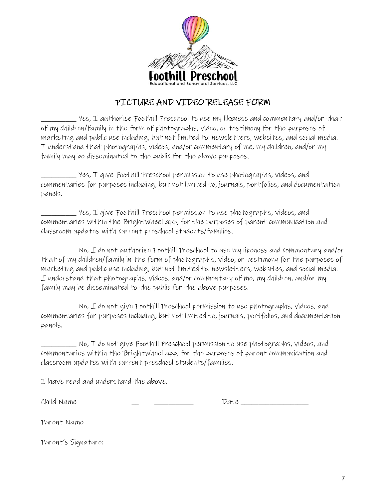

### PICTURE AND VIDEO RELEASE FORM

\_\_\_\_\_\_\_\_\_\_ Yes, I authorize Foothill Preschool to use my likeness and commentary and/or that of my children/family in the form of photographs, video, or testimony for the purposes of marketing and public use including, but not limited to: newsletters, websites, and social media. I understand that photographs, videos, and/or commentary of me, my children, and/or my family may be disseminated to the public for the above purposes.

\_\_\_\_\_\_\_\_\_\_ Yes, I give Foothill Preschool permission to use photographs, videos, and commentaries for purposes including, but not limited to, journals, portfolios, and documentation panels.

 $\_$  Yes,  $\mathtt I$  give Foothill Preschool permission to use photographs, videos, and commentaries within the Brightwheel app, for the purposes of parent communication and classroom updates with current preschool students/families.

No, I do not authorize Foothill Preschool to use my likeness and commentary and/or that of my children/family in the form of photographs, video, or testimony for the purposes of marketing and public use including, but not limited to: newsletters, websites, and social media. I understand that photographs, videos, and/or commentary of me, my children, and/or my family may be disseminated to the public for the above purposes.

 $\_$  No, I do not give Foothill Preschool permission to use photographs, videos, and commentaries for purposes including, but not limited to, journals, portfolios, and documentation panels.

 $\equiv$  No, I do not give Foothill Preschool permission to use photographs, videos, and commentaries within the Brightwheel app, for the purposes of parent communication and classroom updates with current preschool students/families.

I have read and understand the above.

| Child Name ________________           | Date _______________ |
|---------------------------------------|----------------------|
|                                       |                      |
| Parent's Signature: _________________ |                      |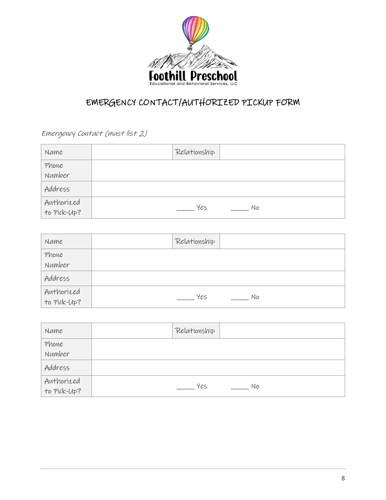

# EMERGENCY CONTACT/AUTHORIZED PICKUP FORM

Emergency Contact (must list 2)

| Name                      | Relationship |
|---------------------------|--------------|
| Phone<br>Number           |              |
| Address                   |              |
| Authorized<br>to Pick-Up? | Yes<br>Nο    |

| Name                      | Relationship |
|---------------------------|--------------|
| Phone                     |              |
| Number                    |              |
| Address                   |              |
|                           |              |
| Authorized<br>to Pick-Up? | Yes<br>Nο    |

| Name                      | Relationship |
|---------------------------|--------------|
| Phone<br>Number           |              |
| Address                   |              |
| Authorized<br>to Pick-Up? | Yes<br>Nο    |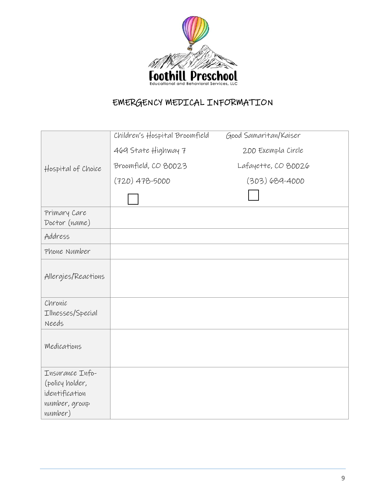

# EMERGENCY MEDICAL INFORMATION

|                            | Children's Hospital Broomfield | Good Samaritan/Kaiser |
|----------------------------|--------------------------------|-----------------------|
|                            | 469 State Highway 7            | 200 Exempla Circle    |
| Hospital of Choice         | Broomfield, CO 80023           | Lafayette, CO 80026   |
|                            | $(720)$ 478-5000               | $(303) 689 - 4000$    |
|                            |                                |                       |
| Primary Care               |                                |                       |
| Doctor (name)              |                                |                       |
| Address                    |                                |                       |
| Phone Number               |                                |                       |
| Allergies/Reactions        |                                |                       |
| Chronic                    |                                |                       |
| Illnesses/Special<br>Needs |                                |                       |
|                            |                                |                       |
| Medications                |                                |                       |
|                            |                                |                       |
| Insurance Info-            |                                |                       |
| (policy holder,            |                                |                       |
| identification             |                                |                       |
| number, group              |                                |                       |
| number)                    |                                |                       |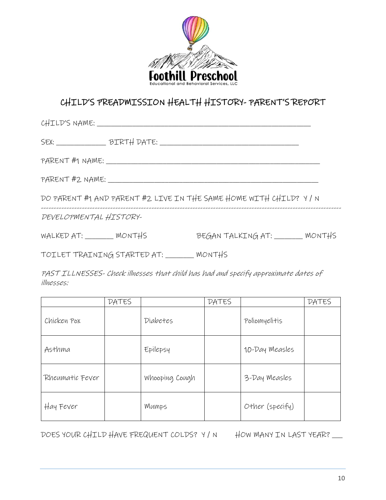

# CHILD'S PREADMISSION HEALTH HISTORY- PARENT'S REPORT

|                                                                   | CHILD'S NAME: ___________________________ |                                 |  |  |
|-------------------------------------------------------------------|-------------------------------------------|---------------------------------|--|--|
|                                                                   | SEX: BIRTH DATE:                          |                                 |  |  |
| PARENT #1 NAME: ________________                                  |                                           |                                 |  |  |
| PARENT #2 NAME:                                                   |                                           |                                 |  |  |
| DO PARENT #1 AND PARENT #2 LIVE IN THE SAME HOME WITH CHILD? Y/ N |                                           |                                 |  |  |
| DEVELOPMENTAL HISTORY-                                            |                                           |                                 |  |  |
| WALKED AT: ________ MONTHS                                        |                                           | BEGAN TALKING AT: ______ MONTHS |  |  |
| TOILET TRAINING STARTED AT: _______ MONTHS                        |                                           |                                 |  |  |

PAST ILLNESSES- Check illnesses that child has had and specify approximate dates of illnesses:

|                 | <b>DATES</b> |                | <b>DATES</b> |                 | <b>DATES</b> |
|-----------------|--------------|----------------|--------------|-----------------|--------------|
| Chicken Pox     |              | Diabetes       |              | Poliomyelitis   |              |
| Asthma          |              | Epilepsy       |              | 10-Day Measles  |              |
| Rheumatic Fever |              | Whooping Cough |              | 3-Day Measles   |              |
| Hay Fever       |              | Mumps          |              | Other (specify) |              |

DOES YOUR CHILD HAVE FREQUENT COLDS? Y/N HOW MANY IN LAST YEAR?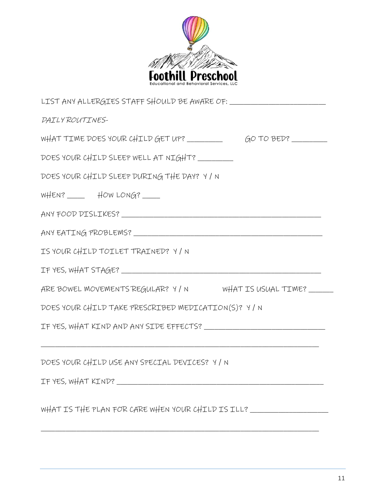

| DAILY ROUTINES-                                                                  |  |  |  |  |  |
|----------------------------------------------------------------------------------|--|--|--|--|--|
| WHAT TIME DOES YOUR CHILD GET UP? ____________________GO TO BED? _______________ |  |  |  |  |  |
| DOES YOUR CHILD SLEEP WELL AT NIGHT?                                             |  |  |  |  |  |
| DOES YOUR CHILD SLEEP DURING THE DAY? Y/N                                        |  |  |  |  |  |
| $WHEN?$ $HOWLONG?$                                                               |  |  |  |  |  |
|                                                                                  |  |  |  |  |  |
|                                                                                  |  |  |  |  |  |
| IS YOUR CHILD TOILET TRAINED? Y/ N                                               |  |  |  |  |  |
|                                                                                  |  |  |  |  |  |
| ARE BOWEL MOVEMENTS REGULAR? Y/N WHAT IS USUAL TIME?                             |  |  |  |  |  |
| DOES YOUR CHILD TAKE PRESCRIBED MEDICATION(S)? Y/N                               |  |  |  |  |  |
|                                                                                  |  |  |  |  |  |
| DOES YOUR CHILD USE ANY SPECIAL DEVICES? Y/N                                     |  |  |  |  |  |
|                                                                                  |  |  |  |  |  |
| WHAT IS THE PLAN FOR CARE WHEN YOUR CHILD IS ILL? ______________________________ |  |  |  |  |  |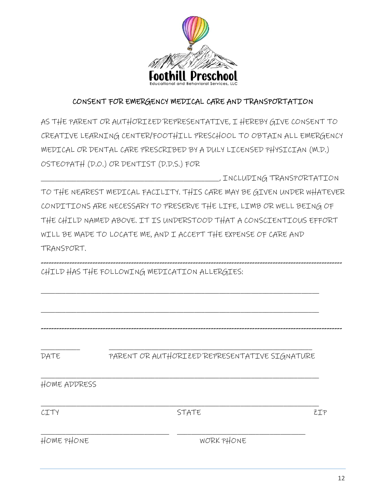

### CONSENT FOR EMERGENCY MEDICAL CARE AND TRANSPORTATION

AS THE PARENT OR AUTHORIZED REPRESENTATIVE, I HEREBY GIVE CONSENT TO CREATIVE LEARNING CENTER/FOOTHILL PRESCHOOL TO OBTAIN ALL EMERGENCY MEDICAL OR DENTAL CARE PRESCRIBED BY A DULY LICENSED PHYSICIAN (M.D.) OSTEOPATH (D.O.) OR DENTIST (D.D.S.) FOR

\_\_\_\_\_\_\_\_\_\_\_\_\_\_\_\_\_\_\_\_\_\_\_\_\_\_\_\_\_\_\_\_\_\_\_\_\_\_\_\_\_\_\_\_\_\_\_\_\_\_, INCLUDING TRANSPORTATION TO THE NEAREST MEDICAL FACILITY. THIS CARE MAY BE GIVEN UNDER WHATEVER CONDITIONS ARE NECESSARY TO PRESERVE THE LIFE, LIMB OR WELL BEING OF THE CHILD NAMED ABOVE. IT IS UNDERSTOOD THAT A CONSCIENTIOUS EFFORT WILL BE MADE TO LOCATE ME, AND I ACCEPT THE EXPENSE OF CARE AND TRANSPORT.

\_\_\_\_\_\_\_\_\_\_\_\_\_\_\_\_\_\_\_\_\_\_\_\_\_\_\_\_\_\_\_\_\_\_\_\_\_\_\_\_\_\_\_\_\_\_\_\_\_\_\_\_\_\_\_\_\_\_\_\_\_\_\_\_\_\_\_\_\_\_\_\_\_\_\_\_\_\_

\_\_\_\_\_\_\_\_\_\_\_\_\_\_\_\_\_\_\_\_\_\_\_\_\_\_\_\_\_\_\_\_\_\_\_\_\_\_\_\_\_\_\_\_\_\_\_\_\_\_\_\_\_\_\_\_\_\_\_\_\_\_\_\_\_\_\_\_\_\_\_\_\_\_\_\_\_\_

--------------------------------------------------------------------------------------------------------------------- CHILD HAS THE FOLLOWING MEDICATION ALLERGIES:

--------------------------------------------------------------------------------------------------------------------- \_\_\_\_\_\_\_\_\_\_\_ \_\_\_\_\_\_\_\_\_\_\_\_\_\_\_\_\_\_\_\_\_\_\_\_\_\_\_\_\_\_\_\_\_\_\_\_\_\_\_\_\_\_\_\_\_\_\_\_\_\_\_\_\_\_\_\_\_ DATE PARENT OR AUTHORIZED REPRESENTATIVE SIGNATURE \_\_\_\_\_\_\_\_\_\_\_\_\_\_\_\_\_\_\_\_\_\_\_\_\_\_\_\_\_\_\_\_\_\_\_\_\_\_\_\_\_\_\_\_\_\_\_\_\_\_\_\_\_\_\_\_\_\_\_\_\_\_\_\_\_\_\_\_\_\_\_\_\_\_\_\_\_\_ HOME ADDRESS \_\_\_\_\_\_\_\_\_\_\_\_\_\_\_\_\_\_\_\_\_\_\_\_\_\_\_\_\_\_\_\_\_\_\_\_\_\_\_\_\_\_\_\_\_\_\_\_\_\_\_\_\_\_\_\_\_\_\_\_\_\_\_\_\_\_\_\_\_\_\_\_\_\_\_\_\_\_ CITY EIP STATE STATE THE STATE \_\_\_\_\_\_\_\_\_\_\_\_\_\_\_\_\_\_\_\_\_\_\_\_\_\_\_\_\_\_\_\_\_\_\_\_ \_\_\_\_\_\_\_\_\_\_\_\_\_\_\_\_\_\_\_\_\_\_\_\_\_\_\_\_\_\_\_\_\_\_\_\_ HOME PHONE WORK PHONE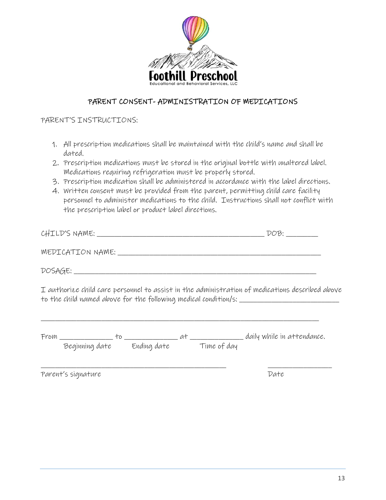

#### PARENT CONSENT- ADMINISTRATION OF MEDICATIONS

#### PARENT'S INSTRUCTIONS:

- 1. All prescription medications shall be maintained with the child's name and shall be dated.
- 2. Prescription medications must be stored in the original bottle with unaltered label. Medications requiring refrigeration must be properly stored.
- 3. Prescription medication shall be administered in accordance with the label directions.
- 4. Written consent must be provided from the parent, permitting child care facility personnel to administer medications to the child. Instructions shall not conflict with the prescription label or product label directions.

| CHILD'S NAME: |  |
|---------------|--|
|               |  |

MEDICATION NAME: \_\_\_\_\_\_\_\_\_\_\_\_\_\_\_\_\_\_\_\_\_\_\_\_\_\_\_\_\_\_\_\_\_\_\_\_\_\_\_\_\_\_\_\_\_\_\_\_\_\_\_\_\_\_\_\_\_

DOSAGE:

I authorize child care personnel to assist in the administration of medications described above to the child named above for the following medical condition/s: \_\_\_\_\_\_\_\_\_\_\_\_\_\_\_\_

| From |                |             |             | daily while in attendance. |
|------|----------------|-------------|-------------|----------------------------|
|      | Beginning date | Ending date | Time of day |                            |
|      |                |             |             |                            |

\_\_\_\_\_\_\_\_\_\_\_\_\_\_\_\_\_\_\_\_\_\_\_\_\_\_\_\_\_\_\_\_\_\_\_\_\_\_\_\_\_\_\_\_\_\_\_\_\_\_\_\_ \_\_\_\_\_\_\_\_\_\_\_\_\_\_\_\_\_\_

\_\_\_\_\_\_\_\_\_\_\_\_\_\_\_\_\_\_\_\_\_\_\_\_\_\_\_\_\_\_\_\_\_\_\_\_\_\_\_\_\_\_\_\_\_\_\_\_\_\_\_\_\_\_\_\_\_\_\_\_\_\_\_\_\_\_\_\_\_\_\_\_\_\_\_\_\_\_

Parent's signature Date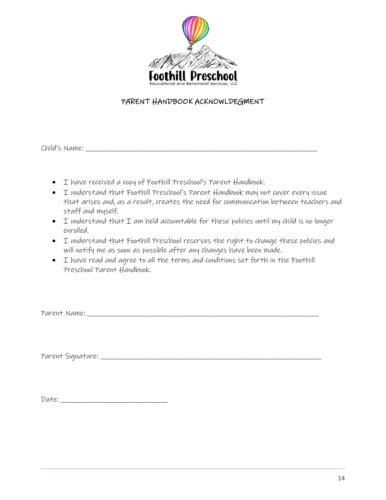

### PARENT HANDBOOK ACKNOWLDEGMENT

Child's Name: \_\_\_\_\_\_\_\_\_\_\_\_\_\_\_\_\_\_\_\_\_\_\_\_\_\_\_\_\_\_\_\_\_\_\_\_\_\_\_\_\_\_\_\_\_\_\_\_\_\_\_\_\_\_\_\_\_\_\_\_\_\_\_\_\_

- I have received a copy of Foothill Preschool's Parent Handbook.
- I understand that Foothill Preschool's Parent Handbook may not cover every issue that arises and, as a result, creates the need for communication between teachers and staff and myself.
- I understand that I am held accountable for these policies until my child is no longer enrolled.
- I understand that Foothill Preschool reserves the right to change these policies and will notify me as soon as possible after any changes have been made.
- I have read and agree to all the terms and conditions set forth in the Foothill Preschool Parent Handbook.

Parent Name: \_\_\_\_\_\_\_\_\_\_\_\_\_\_\_\_\_\_\_\_\_\_\_\_\_\_\_\_\_\_\_\_\_\_\_\_\_\_\_\_\_\_\_\_\_\_\_\_\_\_\_\_\_\_\_\_\_\_\_\_\_\_\_\_\_

Parent Signature: \_\_\_\_\_\_\_\_\_\_\_\_\_\_\_\_\_\_\_\_\_\_\_\_\_\_\_\_\_\_\_\_\_\_\_\_\_\_\_\_\_\_\_\_\_\_\_\_\_\_\_\_\_\_\_\_\_\_\_\_\_\_

Date: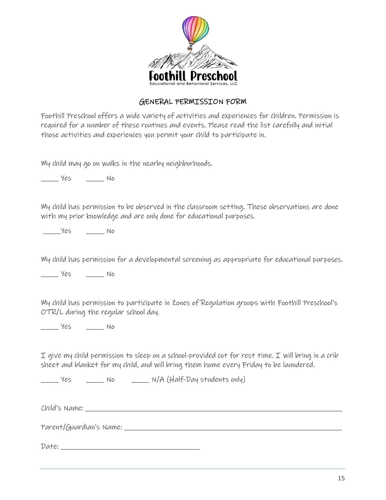

### GENERAL PERMISSION FORM

Foothill Preschool offers a wide variety of activities and experiences for children. Permission is required for a number of these routines and events. Please read the list carefully and initial those activities and experiences you permit your child to participate in.

My child may go on walks in the nearby neighborhoods.

\_\_\_\_\_ Yes \_\_\_\_\_ No

My child has permission to be observed in the classroom setting. These observations are done with my prior knowledge and are only done for educational purposes.

 $Yes$  No

My child has permission for a developmental screening as appropriate for educational purposes.

\_\_\_\_\_ Yes \_\_\_\_\_ No

My child has permission to participate in Zones of Regulation groups with Foothill Preschool's OTR/L during the regular school day.

\_\_\_\_\_ Yes \_\_\_\_\_ No

I give my child permission to sleep on a school-provided cot for rest time. I will bring in a crib sheet and blanket for my child, and will bring them home every Friday to be laundered.

\_\_\_\_\_ Yes \_\_\_\_\_ No \_\_\_\_\_ N/A (Half-Day students only)

 $Child's$  Name:

Parent/Guardian's Name: \_\_\_\_\_\_\_\_\_\_\_\_\_\_\_\_\_\_\_\_\_\_\_\_\_\_\_\_\_\_\_\_\_\_\_\_\_\_\_\_\_\_\_\_\_\_\_\_\_\_\_\_\_\_\_\_\_\_\_\_\_

 $Date:$